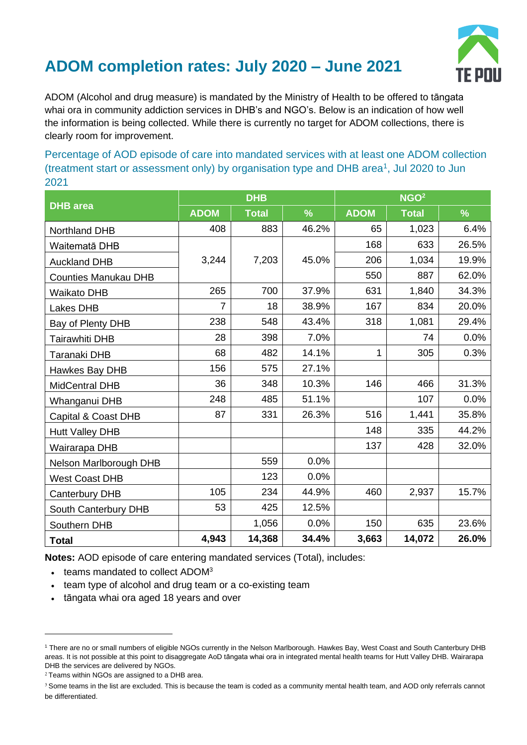

## **ADOM completion rates: July 2020 – June 2021**

ADOM (Alcohol and drug measure) is mandated by the Ministry of Health to be offered to tāngata whai ora in community addiction services in DHB's and NGO's. Below is an indication of how well the information is being collected. While there is currently no target for ADOM collections, there is clearly room for improvement.

Percentage of AOD episode of care into mandated services with at least one ADOM collection (treatment start or assessment only) by organisation type and DHB area<sup>1</sup>, Jul 2020 to Jun 2021

| <b>DHB</b> area             | <b>DHB</b>  |              |               | NGO <sup>2</sup> |              |       |
|-----------------------------|-------------|--------------|---------------|------------------|--------------|-------|
|                             | <b>ADOM</b> | <b>Total</b> | $\frac{9}{6}$ | <b>ADOM</b>      | <b>Total</b> | $\%$  |
| Northland DHB               | 408         | 883          | 46.2%         | 65               | 1,023        | 6.4%  |
| Waitematā DHB               |             |              |               | 168              | 633          | 26.5% |
| <b>Auckland DHB</b>         | 3,244       | 7,203        | 45.0%         | 206              | 1,034        | 19.9% |
| <b>Counties Manukau DHB</b> |             |              |               | 550              | 887          | 62.0% |
| <b>Waikato DHB</b>          | 265         | 700          | 37.9%         | 631              | 1,840        | 34.3% |
| Lakes DHB                   | 7           | 18           | 38.9%         | 167              | 834          | 20.0% |
| Bay of Plenty DHB           | 238         | 548          | 43.4%         | 318              | 1,081        | 29.4% |
| Tairawhiti DHB              | 28          | 398          | 7.0%          |                  | 74           | 0.0%  |
| Taranaki DHB                | 68          | 482          | 14.1%         | $\mathbf{1}$     | 305          | 0.3%  |
| Hawkes Bay DHB              | 156         | 575          | 27.1%         |                  |              |       |
| <b>MidCentral DHB</b>       | 36          | 348          | 10.3%         | 146              | 466          | 31.3% |
| Whanganui DHB               | 248         | 485          | 51.1%         |                  | 107          | 0.0%  |
| Capital & Coast DHB         | 87          | 331          | 26.3%         | 516              | 1,441        | 35.8% |
| <b>Hutt Valley DHB</b>      |             |              |               | 148              | 335          | 44.2% |
| Wairarapa DHB               |             |              |               | 137              | 428          | 32.0% |
| Nelson Marlborough DHB      |             | 559          | 0.0%          |                  |              |       |
| <b>West Coast DHB</b>       |             | 123          | 0.0%          |                  |              |       |
| Canterbury DHB              | 105         | 234          | 44.9%         | 460              | 2,937        | 15.7% |
| South Canterbury DHB        | 53          | 425          | 12.5%         |                  |              |       |
| Southern DHB                |             | 1,056        | 0.0%          | 150              | 635          | 23.6% |
| <b>Total</b>                | 4,943       | 14,368       | 34.4%         | 3,663            | 14,072       | 26.0% |

**Notes:** AOD episode of care entering mandated services (Total), includes:

- teams mandated to collect ADOM<sup>3</sup>
- team type of alcohol and drug team or a co-existing team
- tāngata whai ora aged 18 years and over

<sup>1</sup> There are no or small numbers of eligible NGOs currently in the Nelson Marlborough. Hawkes Bay, West Coast and South Canterbury DHB areas. It is not possible at this point to disaggregate AoD tāngata whai ora in integrated mental health teams for Hutt Valley DHB. Wairarapa DHB the services are delivered by NGOs.

 $2$  Teams within NGOs are assigned to a DHB area.

<sup>&</sup>lt;sup>3</sup> Some teams in the list are excluded. This is because the team is coded as a community mental health team, and AOD only referrals cannot be differentiated.